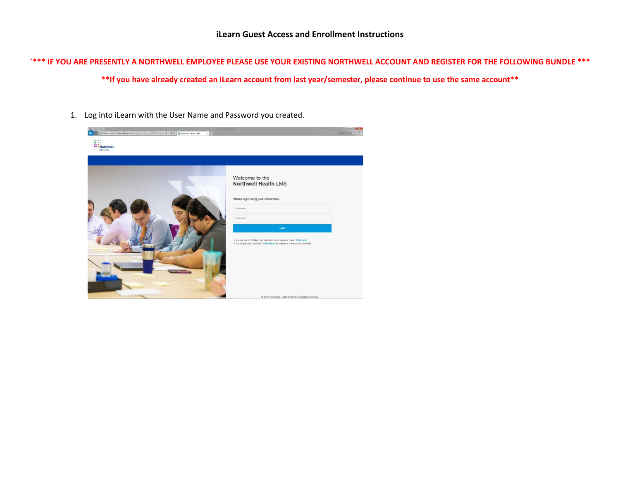# **`\*\*\* IF YOU ARE PRESENTLY A NORTHWELL EMPLOYEE PLEASE USE YOUR EXISTING NORTHWELL ACCOUNT AND REGISTER FOR THE FOLLOWING BUNDLE \*\*\***

**\*\*If you have already created an iLearn account from last year/semester, please continue to use the same account\*\***

1. Log into iLearn with the User Name and Password you created.

| Mtps://light700.learnsoft.com/light/ligin/hilijlogout00F3501.aspi?e P + B C B Northwell Health LMS<br><b>TTTNorthwell</b><br>Health: | <b>CHICO</b><br>$-115$                                                                                                                                                           |
|--------------------------------------------------------------------------------------------------------------------------------------|----------------------------------------------------------------------------------------------------------------------------------------------------------------------------------|
|                                                                                                                                      | Welcome to the<br><b>Northwell Health LMS</b><br>Please login using your credentials.<br>Username                                                                                |
|                                                                                                                                      | Password.<br>Login<br>If you are not a Existing User and wish to set up an account, Click Here.<br>If you forgot your password, Click Here, we can send it to you automatically. |
|                                                                                                                                      | C 2017 Centerline Health Systems. All Rights Reserved.                                                                                                                           |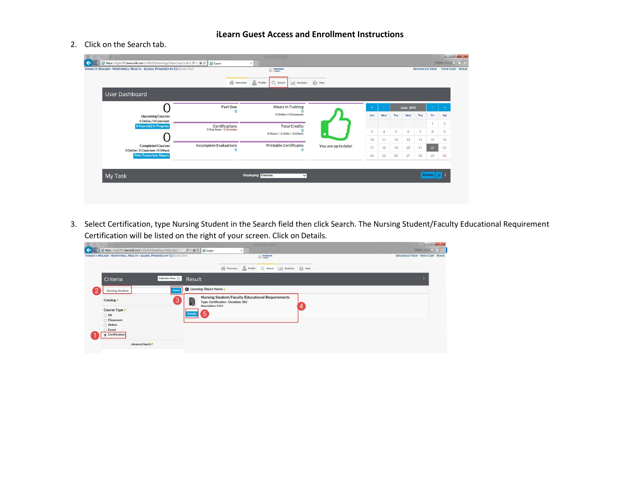### **iLearn Guest Access and Enrollment Instructions**

### 2. Click on the Search tab.

|                                                               | <b>N</b> Overview                         | Profile<br>$Q$ Search<br>$\ $ <sub>1</sub> $\ $   Analytics | $\bigcirc$ Help     |                         |          |     |                  |     |     |                |
|---------------------------------------------------------------|-------------------------------------------|-------------------------------------------------------------|---------------------|-------------------------|----------|-----|------------------|-----|-----|----------------|
| User Dashboard                                                |                                           |                                                             |                     |                         |          |     |                  |     |     |                |
|                                                               | Past Due<br>$\Omega$                      | <b>Hours in Training</b>                                    |                     | $\alpha$                |          |     | <b>June 2018</b> |     |     | $\rightarrow$  |
| <b>Upcoming Courses</b>                                       |                                           | 0 Online / 0 Classroom                                      |                     | Sun                     | Mon      | Tue | Wed              | Thu | Fri | Sat            |
| 0 Online / 0 Classroom<br><b>O Course(s) in Progress</b>      | <b>Certifications</b>                     | <b>Total Credits</b>                                        |                     |                         |          |     |                  |     |     | $\overline{2}$ |
|                                                               | 0 Due Soon / 0 Overdue                    | $\Omega$<br>.0 Hours / .0 Units / .0 Others                 |                     | $\overline{\mathbf{3}}$ | $\Delta$ | 5   | 6                | 7   | 8   | $\overline{9}$ |
|                                                               |                                           |                                                             |                     | 10                      | 11       | 12  | 13               | 14  | 15  | 16             |
| <b>Completed Courses</b><br>0 Online / 0 Classroom / 0 Others | <b>Incomplete Evaluations</b><br>$\Omega$ | <b>Printable Certificates</b><br>$\Omega$                   | You are up to date! | 17                      | 18       | 19  | 20               | 21  | 22  | 23             |
| <b>Print Transcripts Report</b>                               |                                           |                                                             |                     | 24                      | 25       | 26  | 27               | 28  | 29  | 30             |

3. Select Certification, type Nursing Student in the Search field then click Search. The Nursing Student/Faculty Educational Requirement Certification will be listed on the right of your screen. Click on Details.

| https://lsglm702.learnsoft.com/LSGLM/MasterPage/Main1.aspx<br>$\rho - \triangle C$ $\triangle$ iLearn<br>$\times$<br>VANEETA WALKER · NORTHWELL HEALTH - ILEARN, POWERED BY CLI   LOG OUT<br><b>Health</b> | A ★ 章<br><b>ADVANCED VIEW VIEW CART HOME</b> |
|------------------------------------------------------------------------------------------------------------------------------------------------------------------------------------------------------------|----------------------------------------------|
|                                                                                                                                                                                                            |                                              |
|                                                                                                                                                                                                            |                                              |
| everview<br>Profile<br>Q Search<br>all Analytics<br>$\odot$ Help                                                                                                                                           |                                              |
| Calendar View<br>Criteria<br>Result                                                                                                                                                                        |                                              |
| Learning Object Name<br>Search<br>Nursing Student                                                                                                                                                          |                                              |
| Nursing Student/Faculty Educational Requirements<br>骨<br>3<br>Catalog ><br>Type: Certification - Duration: 365<br>Description: 000                                                                         |                                              |
| Course Type<br>5<br><b>Details</b><br>$\bigcirc$ All                                                                                                                                                       |                                              |
| Classroom                                                                                                                                                                                                  |                                              |
| O Online<br>Event                                                                                                                                                                                          |                                              |
| Certification                                                                                                                                                                                              |                                              |
| Advanced Search                                                                                                                                                                                            |                                              |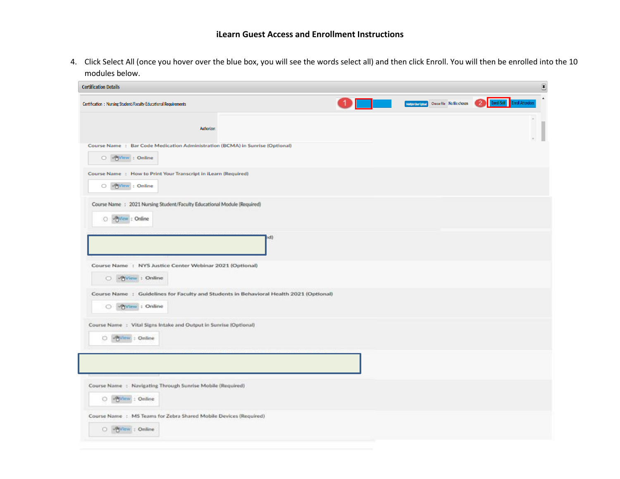4. Click Select All (once you hover over the blue box, you will see the words select all) and then click Enroll. You will then be enrolled into the 10 modules below.

| <b>Certification Details</b>                                                                               |     |                                                    | $\boxed{\textbf{X}}$                                       |
|------------------------------------------------------------------------------------------------------------|-----|----------------------------------------------------|------------------------------------------------------------|
| Certification: Nursing Student/Faculty Educational Requirements                                            |     | Multiple User Upload<br>Choose File No file chosen | $\Delta$<br>Enroll Self Enroll Attendees<br>$\overline{2}$ |
| Authorizer:                                                                                                |     |                                                    |                                                            |
| Course Name : Bar Code Medication Administration (BCMA) in Sunrise (Optional)<br>O <b>Priview</b> : Online |     |                                                    |                                                            |
| Course Name : How to Print Your Transcript in iLearn (Required)<br>O Priview: Online                       |     |                                                    |                                                            |
| Course Name : 2021 Nursing Student/Faculty Educational Module (Required)<br>whyview : Online<br>o          |     |                                                    |                                                            |
|                                                                                                            | (bs |                                                    |                                                            |
| Course Name: NYS Justice Center Webinar 2021 (Optional)<br>O Yview : Online                                |     |                                                    |                                                            |
| Course Name : Guidelines for Faculty and Students in Behavioral Health 2021 (Optional)<br>O View : Online  |     |                                                    |                                                            |
| Course Name: Vital Signs Intake and Output in Sunrise (Optional)<br>-Pinew : Online<br>o                   |     |                                                    |                                                            |
|                                                                                                            |     |                                                    |                                                            |
| Course Name: Navigating Through Sunrise Mobile (Required)<br><b>VAView</b> : Online<br>0                   |     |                                                    |                                                            |
| Course Name : MS Teams for Zebra Shared Mobile Devices (Required)<br><b>UNView : Online</b><br>0.          |     |                                                    |                                                            |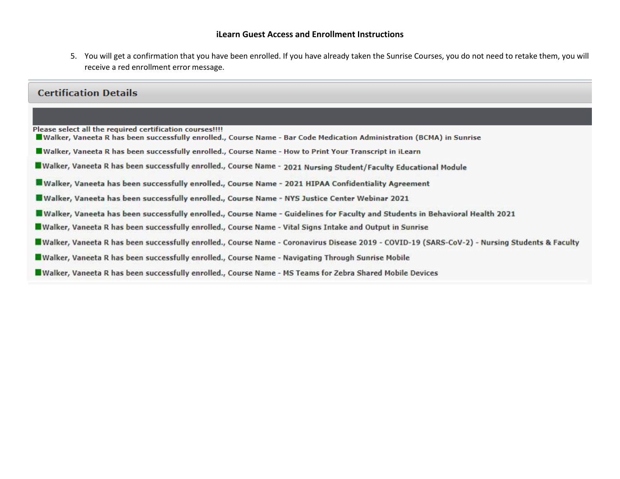#### **iLearn Guest Access and Enrollment Instructions**

5. You will get a confirmation that you have been enrolled. If you have already taken the Sunrise Courses, you do not need to retake them, you will receive a red enrollment error message.

## **Certification Details**

Please select all the required certification courses!!!!

- Walker, Vaneeta R has been successfully enrolled., Course Name Bar Code Medication Administration (BCMA) in Sunrise
- Walker, Vaneeta R has been successfully enrolled., Course Name How to Print Your Transcript in iLearn
- Walker, Vaneeta R has been successfully enrolled., Course Name 2021 Nursing Student/Faculty Educational Module
- Walker, Vaneeta has been successfully enrolled., Course Name 2021 HIPAA Confidentiality Agreement
- Walker, Vaneeta has been successfully enrolled., Course Name NYS Justice Center Webinar 2021
- Walker, Vaneeta has been successfully enrolled., Course Name Guidelines for Faculty and Students in Behavioral Health 2021
- Walker, Vaneeta R has been successfully enrolled., Course Name Vital Signs Intake and Output in Sunrise
- Walker, Vaneeta R has been successfully enrolled., Course Name Coronavirus Disease 2019 COVID-19 (SARS-CoV-2) Nursing Students & Faculty
- Walker, Vaneeta R has been successfully enrolled., Course Name Navigating Through Sunrise Mobile
- Walker, Vaneeta R has been successfully enrolled., Course Name MS Teams for Zebra Shared Mobile Devices